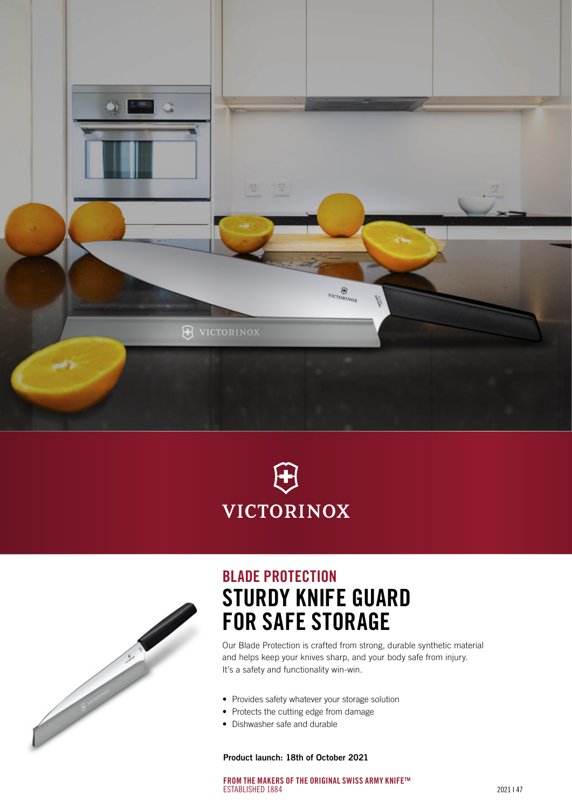





# BLADE PROTECTION STURDY KNIFE GUARD FOR SAFE STORAGE

Our Blade Protection is crafted from strong, durable synthetic material and helps keep your knives sharp, and your body safe from injury. It's a safety and functionality win-win.

- Provides safety whatever your storage solution
- Protects the cutting edge from damage
- Dishwasher safe and durable

Product launch: 18th of October 2021

FROM THE MAKERS OF THE ORIGINAL SWISS ARMY KNIFE™ ESTABLISHED 1884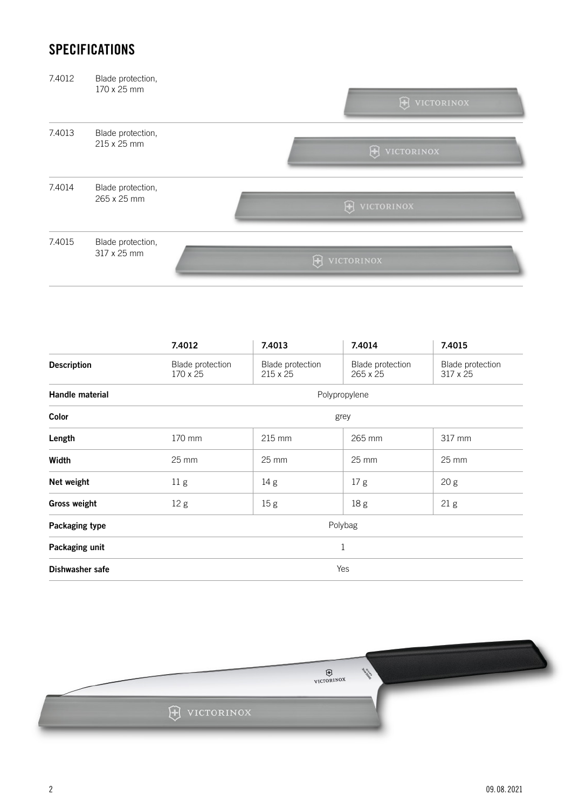### **SPECIFICATIONS**

| 7.4012 | Blade protection,<br>170 x 25 mm | <b>H</b> VICTORINOX |
|--------|----------------------------------|---------------------|
| 7.4013 | Blade protection,<br>215 x 25 mm | H VICTORINOX        |
| 7.4014 | Blade protection,<br>265 x 25 mm | H VICTORINOX        |
| 7.4015 | Blade protection,<br>317 x 25 mm | 田<br>VICTORINOX     |

|                     | 7.4012                       | 7.4013                              | 7.4014                       | 7.4015                              |
|---------------------|------------------------------|-------------------------------------|------------------------------|-------------------------------------|
| <b>Description</b>  | Blade protection<br>170 x 25 | Blade protection<br>$215 \times 25$ | Blade protection<br>265 x 25 | Blade protection<br>$317 \times 25$ |
| Handle material     |                              |                                     | Polypropylene                |                                     |
| Color               |                              |                                     | grey                         |                                     |
| Length              | 170 mm                       | $215$ mm                            | 265 mm                       | 317 mm                              |
| Width               | $25 \text{ mm}$              | $25 \text{ mm}$                     | $25 \text{ mm}$              | $25 \text{ mm}$                     |
| Net weight          | 11 <sub>g</sub>              | 14 g                                | 17 <sub>g</sub>              | 20 <sub>g</sub>                     |
| <b>Gross weight</b> | 12 <sub>g</sub>              | 15 <sub>g</sub>                     | 18g                          | 21 <sub>g</sub>                     |
| Packaging type      |                              |                                     | Polybag                      |                                     |
| Packaging unit      |                              |                                     | $1\,$                        |                                     |
| Dishwasher safe     |                              |                                     | Yes                          |                                     |